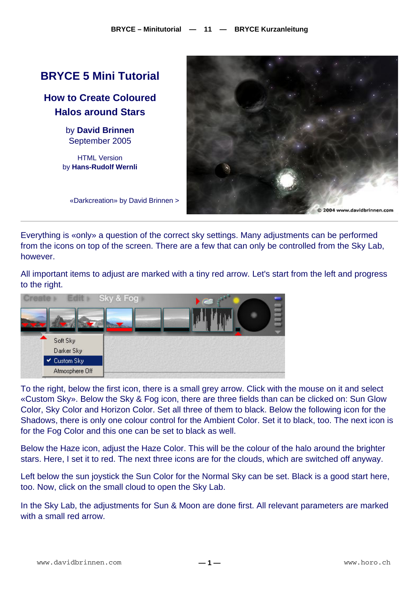## **BRYCE 5 Mini Tutorial**

**How to Create Coloured Halos around Stars** 

> by **David Brinnen** September 2005

HTML Version by **Hans-Rudolf Wernli**



«Darkcreation» by David Brinnen >

Everything is «only» a question of the correct sky settings. Many adjustments can be performed from the icons on top of the screen. There are a few that can only be controlled from the Sky Lab, however.

All important items to adjust are marked with a tiny red arrow. Let's start from the left and progress to the right.



To the right, below the first icon, there is a small grey arrow. Click with the mouse on it and select «Custom Sky». Below the Sky & Fog icon, there are three fields than can be clicked on: Sun Glow Color, Sky Color and Horizon Color. Set all three of them to black. Below the following icon for the Shadows, there is only one colour control for the Ambient Color. Set it to black, too. The next icon is for the Fog Color and this one can be set to black as well.

Below the Haze icon, adjust the Haze Color. This will be the colour of the halo around the brighter stars. Here, I set it to red. The next three icons are for the clouds, which are switched off anyway.

Left below the sun joystick the Sun Color for the Normal Sky can be set. Black is a good start here, too. Now, click on the small cloud to open the Sky Lab.

In the Sky Lab, the adjustments for Sun & Moon are done first. All relevant parameters are marked with a small red arrow.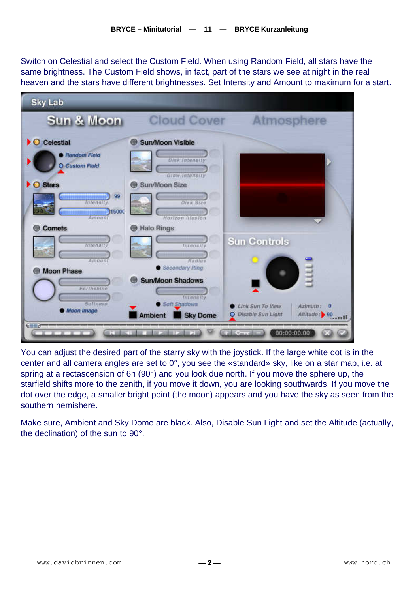Switch on Celestial and select the Custom Field. When using Random Field, all stars have the same brightness. The Custom Field shows, in fact, part of the stars we see at night in the real heaven and the stars have different brightnesses. Set Intensity and Amount to maximum for a start.



You can adjust the desired part of the starry sky with the joystick. If the large white dot is in the center and all camera angles are set to 0°, you see the «standard» sky, like on a star map, i.e. at spring at a rectascension of 6h (90°) and you look due north. If you move the sphere up, the starfield shifts more to the zenith, if you move it down, you are looking southwards. If you move the dot over the edge, a smaller bright point (the moon) appears and you have the sky as seen from the southern hemishere.

Make sure, Ambient and Sky Dome are black. Also, Disable Sun Light and set the Altitude (actually, the declination) of the sun to 90°.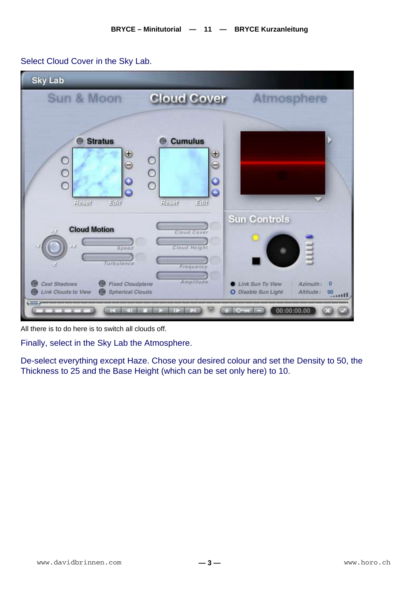## Select Cloud Cover in the Sky Lab.



All there is to do here is to switch all clouds off.

Finally, select in the Sky Lab the Atmosphere.

De-select everything except Haze. Chose your desired colour and set the Density to 50, the Thickness to 25 and the Base Height (which can be set only here) to 10.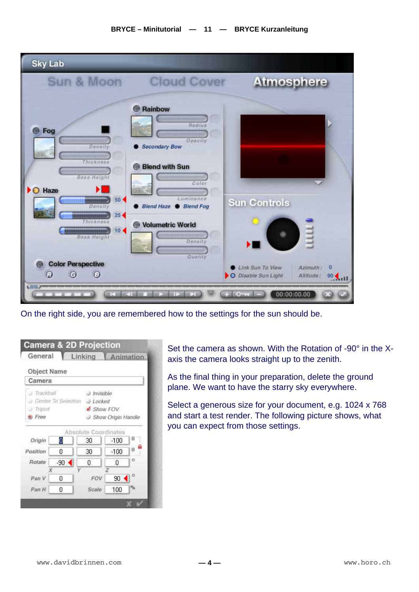

On the right side, you are remembered how to the settings for the sun should be.

| Object Name |                       |                      |                    |   |
|-------------|-----------------------|----------------------|--------------------|---|
| Camera      |                       |                      |                    |   |
| Trackball   |                       | Invisible            |                    |   |
|             | Center To Selection   | Locked               |                    |   |
| a Tripod    |                       | Show FOV             |                    |   |
| $E$ Free    |                       |                      | Show Origin Handle |   |
|             |                       | Absolute Coordinates |                    |   |
| Origin      | 0                     | 30                   | $-100$             | в |
| Position    | n                     | 30                   | $-100$             | в |
| Rotate      | $-90$ $\triangleleft$ | Ū.                   | O                  | ۰ |
|             |                       |                      |                    |   |
| Pan V       | Ω                     | FOV                  | 90.4               | ٥ |
|             |                       |                      |                    |   |

Set the camera as shown. With the Rotation of -90° in the Xaxis the camera looks straight up to the zenith.

As the final thing in your preparation, delete the ground plane. We want to have the starry sky everywhere.

Select a generous size for your document, e.g. 1024 x 768 and start a test render. The following picture shows, what you can expect from those settings.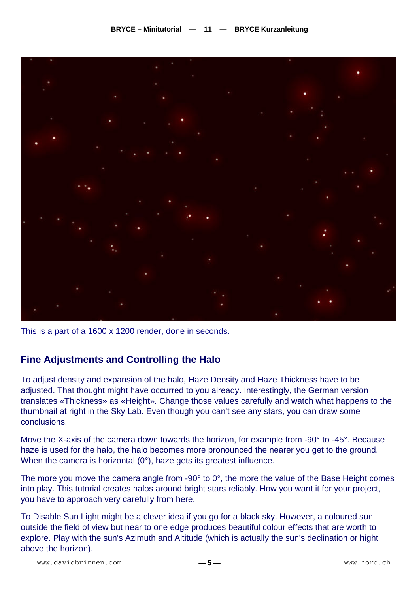

This is a part of a 1600 x 1200 render, done in seconds.

## **Fine Adjustments and Controlling the Halo**

To adjust density and expansion of the halo, Haze Density and Haze Thickness have to be adjusted. That thought might have occurred to you already. Interestingly, the German version translates «Thickness» as «Height». Change those values carefully and watch what happens to the thumbnail at right in the Sky Lab. Even though you can't see any stars, you can draw some conclusions.

Move the X-axis of the camera down towards the horizon, for example from -90° to -45°. Because haze is used for the halo, the halo becomes more pronounced the nearer you get to the ground. When the camera is horizontal (0°), haze gets its greatest influence.

The more you move the camera angle from -90° to 0°, the more the value of the Base Height comes into play. This tutorial creates halos around bright stars reliably. How you want it for your project, you have to approach very carefully from here.

To Disable Sun Light might be a clever idea if you go for a black sky. However, a coloured sun outside the field of view but near to one edge produces beautiful colour effects that are worth to explore. Play with the sun's Azimuth and Altitude (which is actually the sun's declination or hight above the horizon).